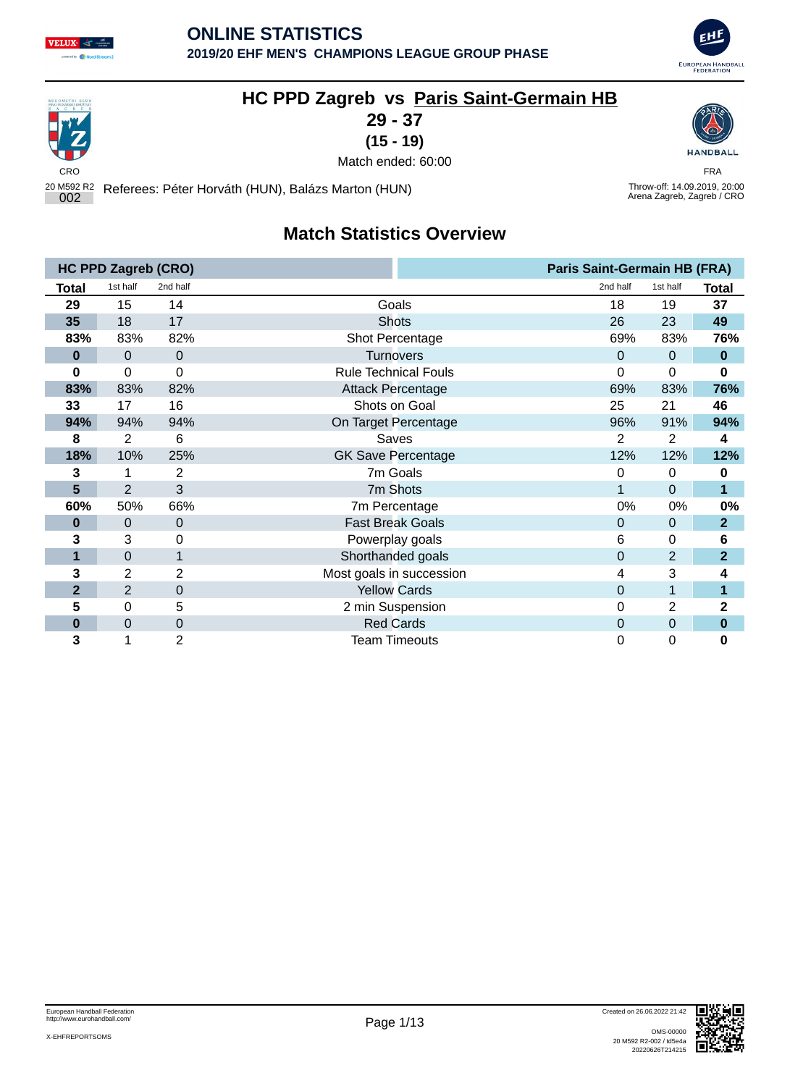





## **HC PPD Zagreb vs Paris Saint-Germain HB**

**29 - 37**

**(15 - 19)**



Throw-off: 14.09.2019, 20:00<br>Arena Zagreb, Zagreb / CRO

المستقبل المستقبل المستقبل المستقبل المستقبل المستقبل المستقبل المستقبل المستقبل المستقبل المستقبل المستقبل المستقبل المستقبل المستقبل المستقبل المستقبل المستقبل المستقبل المستقبل المستقبل المستقبل المستقبل المستقبل المست Match ended: 60:00

20 M592 R2 <sup>002</sup> Referees: Péter Horváth (HUN), Balázs Marton (HUN) Throw-off: 14.09.2019, 20:00

## **Match Statistics Overview**

|                | <b>HC PPD Zagreb (CRO)</b> |                  |                             | <b>Paris Saint-Germain HB (FRA)</b> |                |                |
|----------------|----------------------------|------------------|-----------------------------|-------------------------------------|----------------|----------------|
| Total          | 1st half                   | 2nd half         |                             | 2nd half                            | 1st half       | <b>Total</b>   |
| 29             | 15                         | 14               | Goals                       | 18                                  | 19             | 37             |
| 35             | 18                         | 17               | <b>Shots</b>                | 26                                  | 23             | 49             |
| 83%            | 83%                        | 82%              | Shot Percentage             | 69%                                 | 83%            | 76%            |
| $\bf{0}$       | 0                          | 0                | <b>Turnovers</b>            | $\Omega$                            | 0              | $\bf{0}$       |
| 0              | 0                          | 0                | <b>Rule Technical Fouls</b> | 0                                   | 0              | 0              |
| 83%            | 83%                        | 82%              | <b>Attack Percentage</b>    | 69%                                 | 83%            | 76%            |
| 33             | 17                         | 16               | Shots on Goal               | 25                                  | 21             | 46             |
| 94%            | 94%                        | 94%              | On Target Percentage        | 96%                                 | 91%            | 94%            |
| 8              | $\overline{2}$             | 6                | Saves                       | $\overline{2}$                      | $\overline{2}$ | 4              |
| 18%            | 10%                        | 25%              | <b>GK Save Percentage</b>   | 12%                                 | 12%            | 12%            |
| 3              |                            | 2                | 7m Goals                    | 0                                   | 0              | 0              |
| 5              | $\overline{2}$             | 3                | 7m Shots                    | 1                                   | 0              | 1              |
| 60%            | 50%                        | 66%              | 7m Percentage               | 0%                                  | 0%             | 0%             |
| $\bf{0}$       | 0                          | $\mathbf 0$      | <b>Fast Break Goals</b>     | $\mathbf{0}$                        | $\mathbf 0$    | $\overline{2}$ |
| 3              | 3                          | 0                | Powerplay goals             | 6                                   | 0              | 6              |
| 1              | 0                          | 1                | Shorthanded goals           | $\Omega$                            | $\overline{2}$ | $\overline{2}$ |
| 3              | 2                          | 2                | Most goals in succession    | 4                                   | 3              | 4              |
| $\overline{2}$ | $\overline{2}$             | 0                | <b>Yellow Cards</b>         | $\Omega$                            |                | 1              |
| 5              | 0                          | 5                | 2 min Suspension            | 0                                   | $\overline{2}$ | 2              |
| $\bf{0}$       | 0                          | $\boldsymbol{0}$ | <b>Red Cards</b>            | 0                                   | $\mathbf 0$    | $\bf{0}$       |
| 3              |                            | 2                | <b>Team Timeouts</b>        | 0                                   | 0              | 0              |

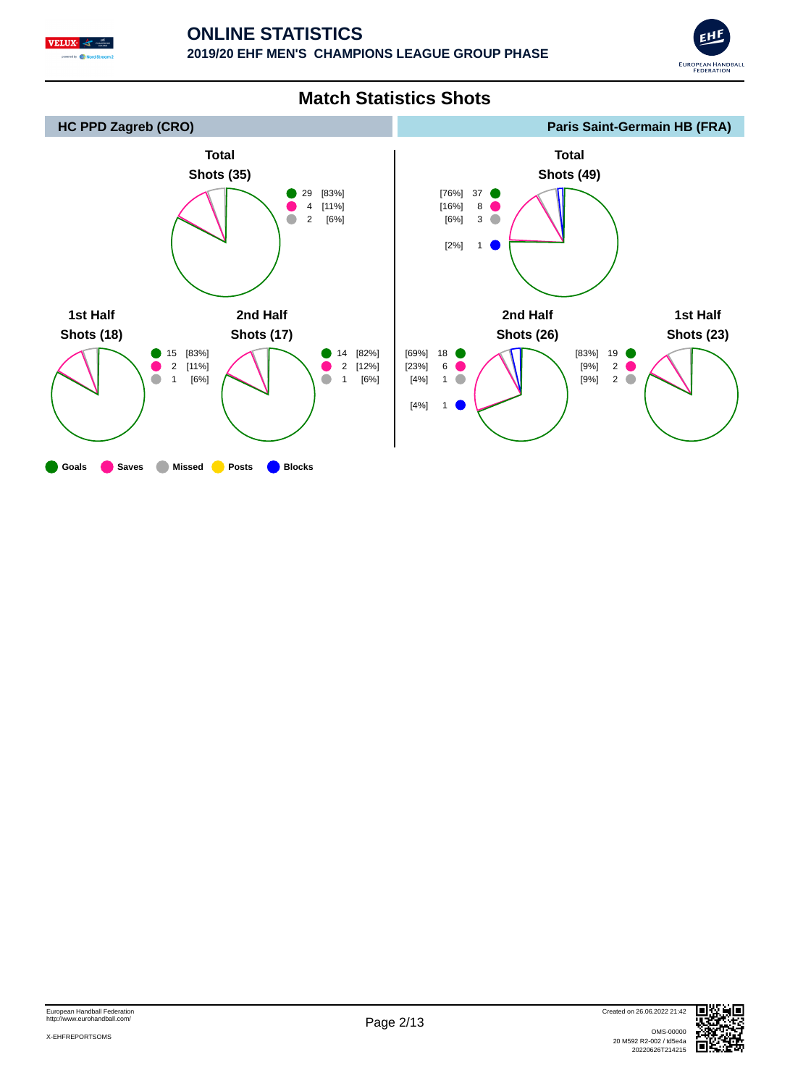





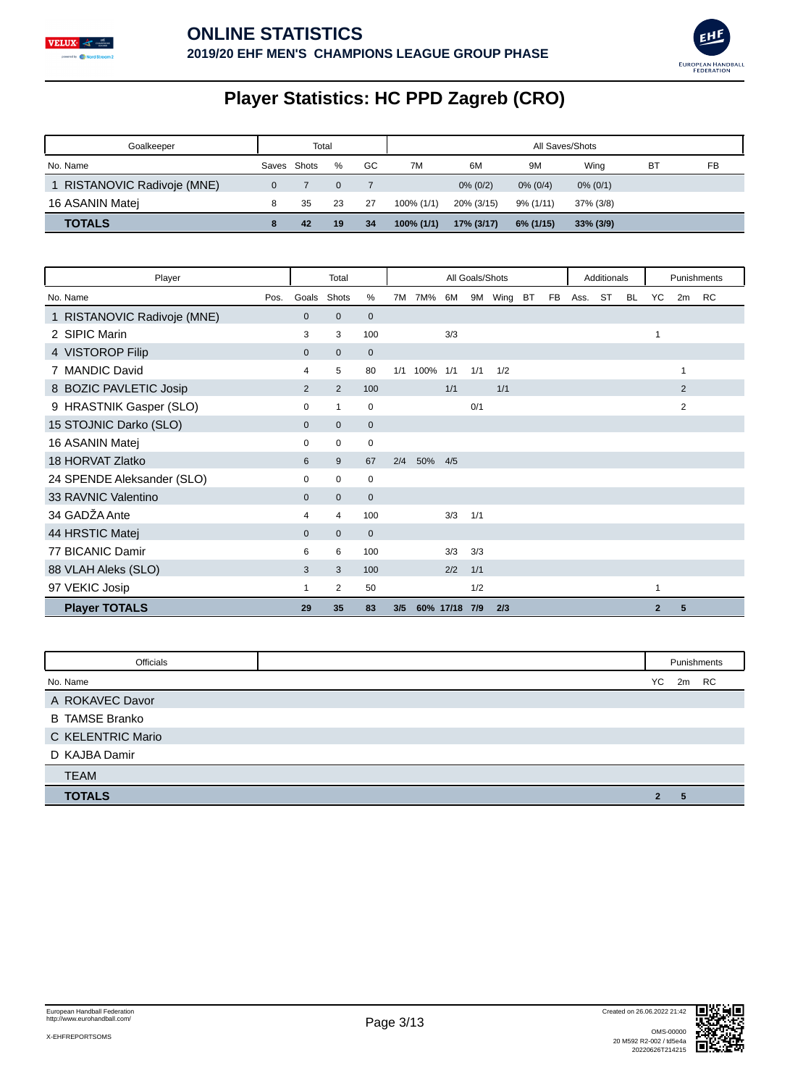



# **Player Statistics: HC PPD Zagreb (CRO)**

| Goalkeeper                  |       | Total |    |    |               |             |             | All Saves/Shots |           |    |  |  |
|-----------------------------|-------|-------|----|----|---------------|-------------|-------------|-----------------|-----------|----|--|--|
| No. Name                    | Saves | Shots | %  | GC | 7M            | 6M          | 9M          | Wing            | <b>BT</b> | FB |  |  |
| 1 RISTANOVIC Radivoje (MNE) |       |       |    |    |               | $0\% (0/2)$ | $0\%$ (0/4) | $0\%$ (0/1)     |           |    |  |  |
| 16 ASANIN Matej             |       | 35    | 23 | 27 | $100\%$ (1/1) | 20% (3/15)  | 9% (1/11)   | 37% (3/8)       |           |    |  |  |
| <b>TOTALS</b>               |       | 42    | 19 | 34 | $100\%$ (1/1) | 17% (3/17)  | 6% (1/15)   | $33\%$ (3/9)    |           |    |  |  |

| Player                      |                | Total        |              |     |           |     | All Goals/Shots |         |           |           |      | Additionals |           |                | Punishments    |           |
|-----------------------------|----------------|--------------|--------------|-----|-----------|-----|-----------------|---------|-----------|-----------|------|-------------|-----------|----------------|----------------|-----------|
| No. Name<br>Pos.            | Goals          | Shots        | %            | 7M  | 7M%       | 6M  |                 | 9M Wing | <b>BT</b> | <b>FB</b> | Ass. | ST          | <b>BL</b> | YC             | 2m             | <b>RC</b> |
| 1 RISTANOVIC Radivoje (MNE) | $\mathbf{0}$   | $\mathbf{0}$ | $\mathbf{0}$ |     |           |     |                 |         |           |           |      |             |           |                |                |           |
| 2 SIPIC Marin               | 3              | 3            | 100          |     |           | 3/3 |                 |         |           |           |      |             |           | 1              |                |           |
| 4 VISTOROP Filip            | $\mathbf{0}$   | $\mathbf{0}$ | $\mathbf{0}$ |     |           |     |                 |         |           |           |      |             |           |                |                |           |
| 7 MANDIC David              | 4              | 5            | 80           | 1/1 | 100%      | 1/1 | 1/1             | 1/2     |           |           |      |             |           |                | 1              |           |
| 8 BOZIC PAVLETIC Josip      | $\overline{2}$ | 2            | 100          |     |           | 1/1 |                 | 1/1     |           |           |      |             |           |                | $\overline{2}$ |           |
| 9 HRASTNIK Gasper (SLO)     | 0              | 1            | $\mathbf 0$  |     |           |     | 0/1             |         |           |           |      |             |           |                | 2              |           |
| 15 STOJNIC Darko (SLO)      | $\mathbf{0}$   | $\mathbf{0}$ | $\mathbf{0}$ |     |           |     |                 |         |           |           |      |             |           |                |                |           |
| 16 ASANIN Matej             | 0              | 0            | 0            |     |           |     |                 |         |           |           |      |             |           |                |                |           |
| 18 HORVAT Zlatko            | 6              | 9            | 67           | 2/4 | 50%       | 4/5 |                 |         |           |           |      |             |           |                |                |           |
| 24 SPENDE Aleksander (SLO)  | 0              | $\mathbf 0$  | 0            |     |           |     |                 |         |           |           |      |             |           |                |                |           |
| 33 RAVNIC Valentino         | $\mathbf{0}$   | $\mathbf{0}$ | $\mathbf{0}$ |     |           |     |                 |         |           |           |      |             |           |                |                |           |
| 34 GADZA Ante               | 4              | 4            | 100          |     |           | 3/3 | 1/1             |         |           |           |      |             |           |                |                |           |
| 44 HRSTIC Matej             | $\Omega$       | $\mathbf{0}$ | $\mathbf{0}$ |     |           |     |                 |         |           |           |      |             |           |                |                |           |
| 77 BICANIC Damir            | 6              | 6            | 100          |     |           | 3/3 | 3/3             |         |           |           |      |             |           |                |                |           |
| 88 VLAH Aleks (SLO)         | 3              | 3            | 100          |     |           | 2/2 | 1/1             |         |           |           |      |             |           |                |                |           |
| 97 VEKIC Josip              | 1              | 2            | 50           |     |           |     | 1/2             |         |           |           |      |             |           | 1              |                |           |
| <b>Player TOTALS</b>        | 29             | 35           | 83           | 3/5 | 60% 17/18 |     | 7/9             | 2/3     |           |           |      |             |           | $\overline{2}$ | 5              |           |

| Officials             |                | Punishments |  |
|-----------------------|----------------|-------------|--|
| No. Name              |                | YC 2m RC    |  |
| A ROKAVEC Davor       |                |             |  |
| <b>B TAMSE Branko</b> |                |             |  |
| C KELENTRIC Mario     |                |             |  |
| D KAJBA Damir         |                |             |  |
| <b>TEAM</b>           |                |             |  |
| <b>TOTALS</b>         | $\overline{2}$ | 5           |  |

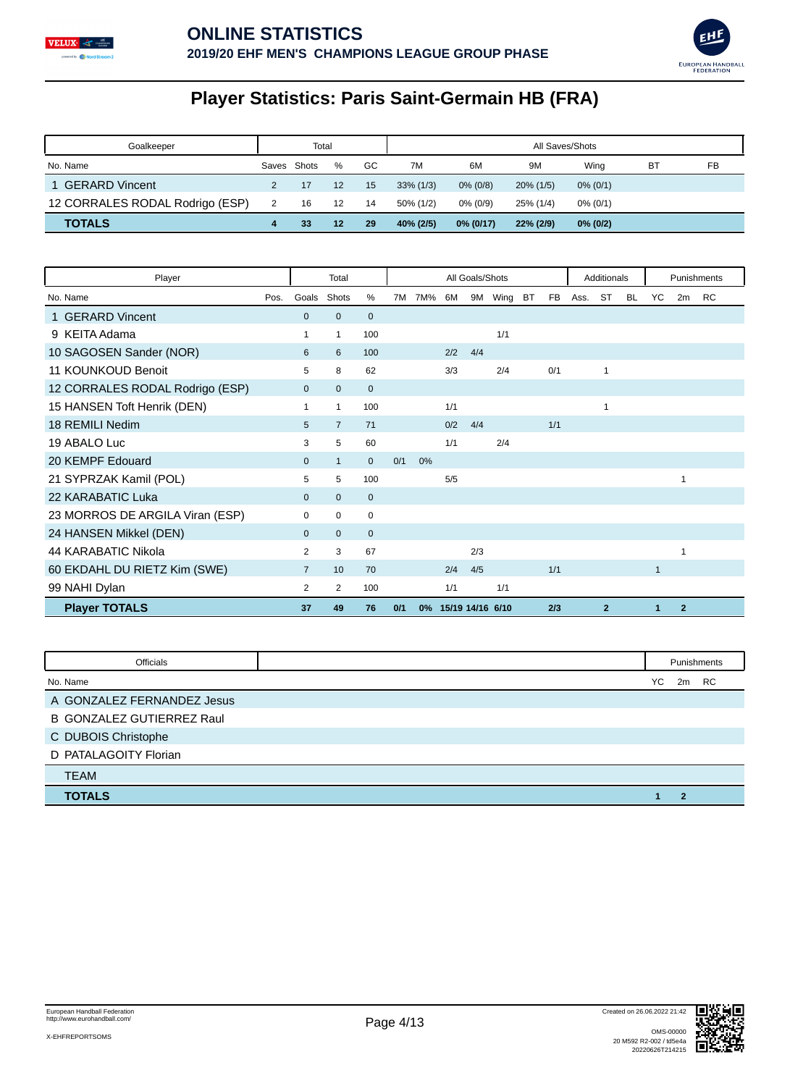



# **Player Statistics: Paris Saint-Germain HB (FRA)**

| Goalkeeper                      |       | Total |    |    |              |              | All Saves/Shots |             |    |    |
|---------------------------------|-------|-------|----|----|--------------|--------------|-----------------|-------------|----|----|
| No. Name                        | Saves | Shots | %  | GC | 7M           | 6M           | 9M              | Wina        | BT | FB |
| 1 GERARD Vincent                |       |       | 12 | 15 | $33\%$ (1/3) | $0\%$ (0/8)  | $20\%$ (1/5)    | $0\%$ (0/1) |    |    |
| 12 CORRALES RODAL Rodrigo (ESP) | 2     | 16    | 12 | 14 | 50% (1/2)    | $0\%$ (0/9)  | 25% (1/4)       | $0\%$ (0/1) |    |    |
| <b>TOTALS</b>                   |       | 33    | 12 | 29 | 40% (2/5)    | $0\%$ (0/17) | 22% (2/9)       | $0\%$ (0/2) |    |    |

| Player                          |      |                | Total          |              |     |       |                  | All Goals/Shots |      |           |           |      | Additionals    |           |              |                | Punishments |
|---------------------------------|------|----------------|----------------|--------------|-----|-------|------------------|-----------------|------|-----------|-----------|------|----------------|-----------|--------------|----------------|-------------|
| No. Name                        | Pos. | Goals          | Shots          | %            | 7M  | 7M%   | 6M               | 9M              | Wing | <b>BT</b> | <b>FB</b> | Ass. | ST             | <b>BL</b> | YC           | 2m             | <b>RC</b>   |
| 1 GERARD Vincent                |      | $\mathbf{0}$   | $\overline{0}$ | $\mathbf{0}$ |     |       |                  |                 |      |           |           |      |                |           |              |                |             |
| 9 KEITA Adama                   |      | $\mathbf{1}$   | 1              | 100          |     |       |                  |                 | 1/1  |           |           |      |                |           |              |                |             |
| 10 SAGOSEN Sander (NOR)         |      | 6              | 6              | 100          |     |       | 2/2              | 4/4             |      |           |           |      |                |           |              |                |             |
| 11 KOUNKOUD Benoit              |      | 5              | 8              | 62           |     |       | 3/3              |                 | 2/4  |           | 0/1       |      | 1              |           |              |                |             |
| 12 CORRALES RODAL Rodrigo (ESP) |      | $\mathbf{0}$   | $\mathbf{0}$   | $\mathbf{0}$ |     |       |                  |                 |      |           |           |      |                |           |              |                |             |
| 15 HANSEN Toft Henrik (DEN)     |      | $\mathbf{1}$   | $\mathbf{1}$   | 100          |     |       | 1/1              |                 |      |           |           |      | 1              |           |              |                |             |
| 18 REMILI Nedim                 |      | 5              | $\overline{7}$ | 71           |     |       | 0/2              | 4/4             |      |           | 1/1       |      |                |           |              |                |             |
| 19 ABALO Luc                    |      | 3              | 5              | 60           |     |       | 1/1              |                 | 2/4  |           |           |      |                |           |              |                |             |
| 20 KEMPF Edouard                |      | $\mathbf{0}$   | $\mathbf{1}$   | $\mathbf{0}$ | 0/1 | 0%    |                  |                 |      |           |           |      |                |           |              |                |             |
| 21 SYPRZAK Kamil (POL)          |      | 5              | 5              | 100          |     |       | 5/5              |                 |      |           |           |      |                |           |              | 1              |             |
| 22 KARABATIC Luka               |      | $\mathbf{0}$   | $\mathbf{0}$   | $\mathbf{0}$ |     |       |                  |                 |      |           |           |      |                |           |              |                |             |
| 23 MORROS DE ARGILA Viran (ESP) |      | $\Omega$       | $\Omega$       | $\mathbf 0$  |     |       |                  |                 |      |           |           |      |                |           |              |                |             |
| 24 HANSEN Mikkel (DEN)          |      | $\mathbf{0}$   | $\overline{0}$ | $\mathbf{0}$ |     |       |                  |                 |      |           |           |      |                |           |              |                |             |
| 44 KARABATIC Nikola             |      | 2              | 3              | 67           |     |       |                  | 2/3             |      |           |           |      |                |           |              | 1              |             |
| 60 EKDAHL DU RIETZ Kim (SWE)    |      | $\overline{7}$ | 10             | 70           |     |       | 2/4              | 4/5             |      |           | 1/1       |      |                |           | $\mathbf{1}$ |                |             |
| 99 NAHI Dylan                   |      | 2              | 2              | 100          |     |       | 1/1              |                 | 1/1  |           |           |      |                |           |              |                |             |
| <b>Player TOTALS</b>            |      | 37             | 49             | 76           | 0/1 | $0\%$ | 15/19 14/16 6/10 |                 |      |           | 2/3       |      | $\overline{2}$ |           | 1            | $\overline{2}$ |             |

| Officials                        |    |       | Punishments |
|----------------------------------|----|-------|-------------|
| No. Name                         | YC | 2m RC |             |
| A GONZALEZ FERNANDEZ Jesus       |    |       |             |
| <b>B GONZALEZ GUTIERREZ Raul</b> |    |       |             |
| C DUBOIS Christophe              |    |       |             |
| D PATALAGOITY Florian            |    |       |             |
| <b>TEAM</b>                      |    |       |             |
| <b>TOTALS</b>                    |    | ◠     |             |

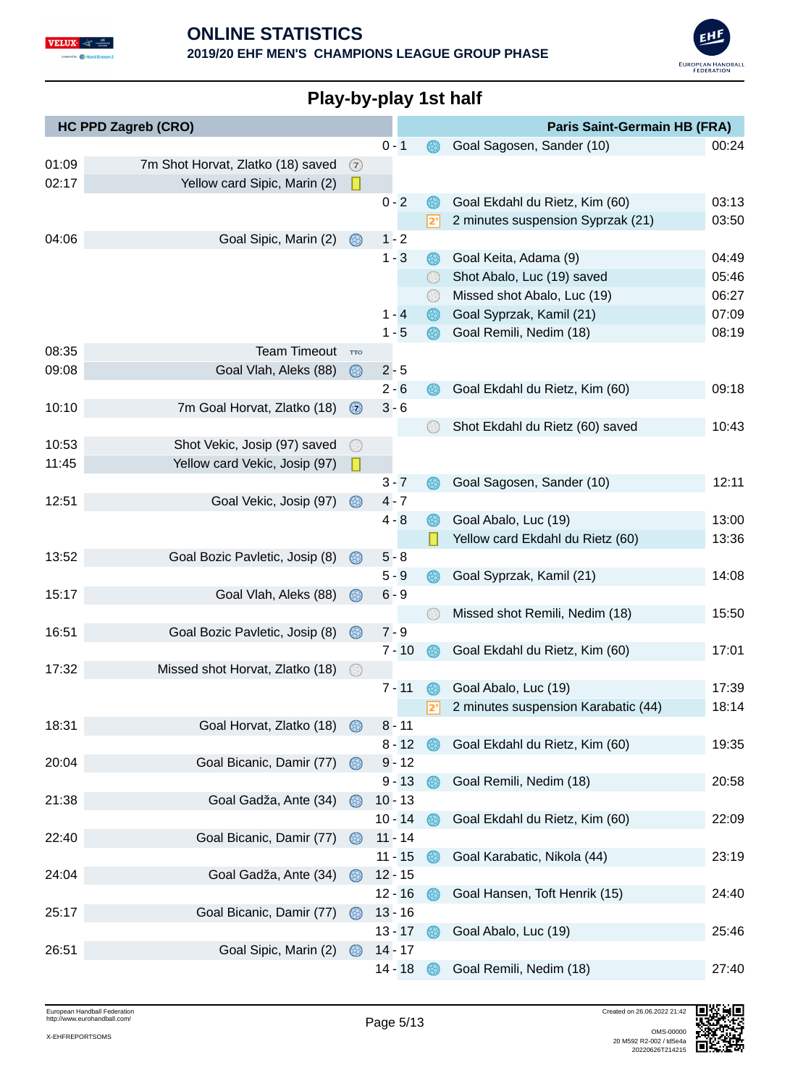



|       | <b>HC PPD Zagreb (CRO)</b>        |                |         |           |          | <b>Paris Saint-Germain HB (FRA)</b> |       |
|-------|-----------------------------------|----------------|---------|-----------|----------|-------------------------------------|-------|
|       |                                   |                | $0 - 1$ |           |          | Goal Sagosen, Sander (10)           | 00:24 |
| 01:09 | 7m Shot Horvat, Zlatko (18) saved | (7)            |         |           |          |                                     |       |
| 02:17 | Yellow card Sipic, Marin (2)      | П              |         |           |          |                                     |       |
|       |                                   |                | $0 - 2$ |           |          | Goal Ekdahl du Rietz, Kim (60)      | 03:13 |
|       |                                   |                |         |           | 2'       | 2 minutes suspension Syprzak (21)   | 03:50 |
| 04:06 | Goal Sipic, Marin (2)             | 68)            |         | $1 - 2$   |          |                                     |       |
|       |                                   |                |         | $1 - 3$   | 68)      | Goal Keita, Adama (9)               | 04:49 |
|       |                                   |                |         |           |          | Shot Abalo, Luc (19) saved          | 05:46 |
|       |                                   |                |         |           |          | Missed shot Abalo, Luc (19)         | 06:27 |
|       |                                   |                |         | $1 - 4$   |          | Goal Syprzak, Kamil (21)            | 07:09 |
|       |                                   |                |         | $1 - 5$   |          | Goal Remili, Nedim (18)             | 08:19 |
| 08:35 | <b>Team Timeout</b>               | <b>TTO</b>     |         |           |          |                                     |       |
| 09:08 | Goal Vlah, Aleks (88)             | ⊛              | $2 - 5$ |           |          |                                     |       |
|       |                                   |                |         | $2 - 6$   |          | Goal Ekdahl du Rietz, Kim (60)      | 09:18 |
| 10:10 | 7m Goal Horvat, Zlatko (18)       | $\circledcirc$ | $3 - 6$ |           |          |                                     |       |
|       |                                   |                |         |           |          | Shot Ekdahl du Rietz (60) saved     | 10:43 |
| 10:53 | Shot Vekic, Josip (97) saved      |                |         |           |          |                                     |       |
| 11:45 | Yellow card Vekic, Josip (97)     | L              |         |           |          |                                     |       |
|       |                                   |                |         | $3 - 7$   |          | Goal Sagosen, Sander (10)           | 12:11 |
| 12:51 | Goal Vekic, Josip (97)            | 68)            |         | $4 - 7$   |          |                                     |       |
|       |                                   |                | $4 - 8$ |           | 68)      | Goal Abalo, Luc (19)                | 13:00 |
|       |                                   |                |         |           |          | Yellow card Ekdahl du Rietz (60)    | 13:36 |
| 13:52 | Goal Bozic Pavletic, Josip (8)    | (18)           | $5 - 8$ |           |          |                                     |       |
|       |                                   |                |         | $5 - 9$   |          | Goal Syprzak, Kamil (21)            | 14:08 |
| 15:17 | Goal Vlah, Aleks (88)             | 63)            |         | $6 - 9$   |          |                                     |       |
|       |                                   |                |         |           |          | Missed shot Remili, Nedim (18)      | 15:50 |
| 16:51 | Goal Bozic Pavletic, Josip (8)    | $\circledcirc$ | $7 - 9$ |           |          |                                     |       |
|       |                                   |                |         | $7 - 10$  |          | Goal Ekdahl du Rietz, Kim (60)      | 17:01 |
| 17:32 | Missed shot Horvat, Zlatko (18)   | $(\div)$       |         |           |          |                                     |       |
|       |                                   |                |         | $7 - 11$  | <b>B</b> | Goal Abalo, Luc (19)                | 17:39 |
|       |                                   |                |         |           |          | 2 minutes suspension Karabatic (44) | 18:14 |
| 18:31 | Goal Horvat, Zlatko (18)          | 63)            |         | $8 - 11$  |          |                                     |       |
|       |                                   |                |         | $8 - 12$  | ®        | Goal Ekdahl du Rietz, Kim (60)      | 19:35 |
| 20:04 | Goal Bicanic, Damir (77)          | $\circledcirc$ |         | $9 - 12$  |          |                                     |       |
|       |                                   |                |         | $9 - 13$  | 68)      | Goal Remili, Nedim (18)             | 20:58 |
| 21:38 | Goal Gadža, Ante (34)             | 63)            |         | $10 - 13$ |          |                                     |       |
|       |                                   |                |         | $10 - 14$ |          | Goal Ekdahl du Rietz, Kim (60)      | 22:09 |
| 22:40 | Goal Bicanic, Damir (77)          | $\infty$       |         | $11 - 14$ |          |                                     |       |
|       |                                   |                |         | $11 - 15$ | (33)     | Goal Karabatic, Nikola (44)         | 23:19 |
| 24:04 | Goal Gadža, Ante (34)             | $\circledcirc$ |         | $12 - 15$ |          |                                     |       |
|       |                                   |                |         | $12 - 16$ |          | Goal Hansen, Toft Henrik (15)       | 24:40 |
| 25:17 | Goal Bicanic, Damir (77)          | 63)            |         | $13 - 16$ |          |                                     |       |
|       |                                   |                |         | $13 - 17$ | 68       | Goal Abalo, Luc (19)                | 25:46 |
| 26:51 | Goal Sipic, Marin (2)             | 63)            |         | $14 - 17$ |          |                                     |       |
|       |                                   |                |         | 14 - 18   |          | Goal Remili, Nedim (18)             | 27:40 |

### **Play-by-play 1st half**

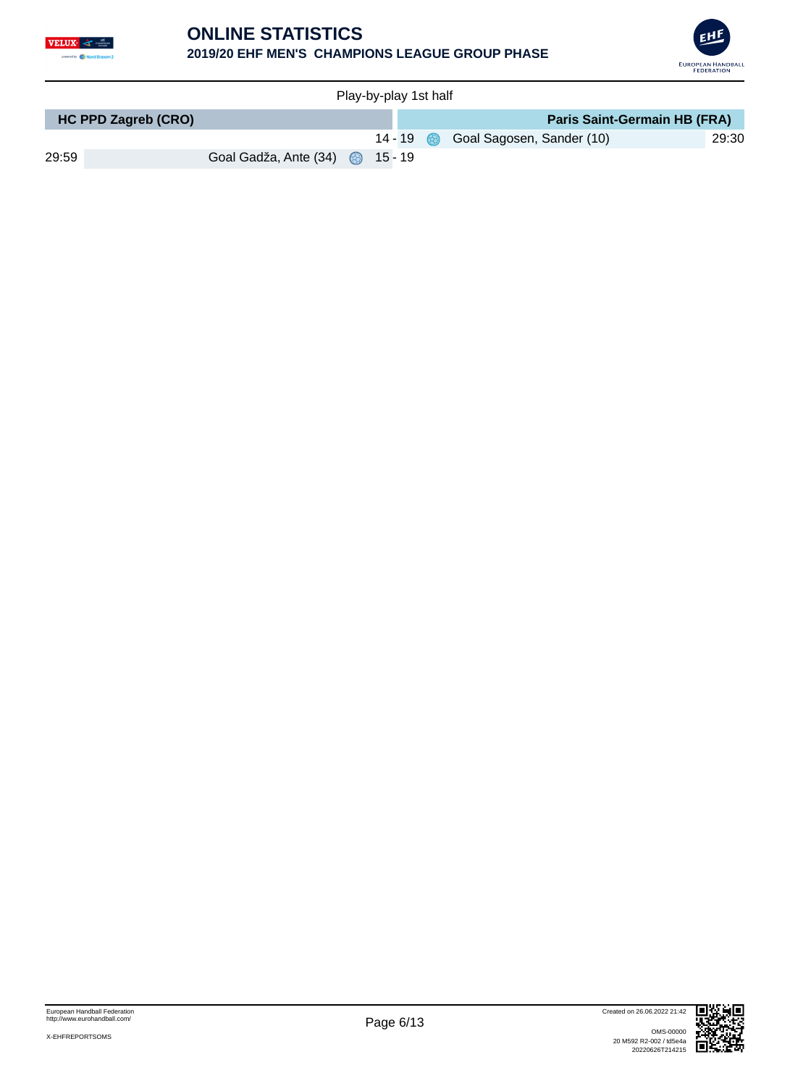

#### **ONLINE STATISTICS 2019/20 EHF MEN'S CHAMPIONS LEAGUE GROUP PHASE**



| Play-by-play 1st half |                            |                                 |  |           |  |  |                                     |       |  |  |
|-----------------------|----------------------------|---------------------------------|--|-----------|--|--|-------------------------------------|-------|--|--|
|                       | <b>HC PPD Zagreb (CRO)</b> |                                 |  |           |  |  | <b>Paris Saint-Germain HB (FRA)</b> |       |  |  |
|                       |                            |                                 |  | $14 - 19$ |  |  | Goal Sagosen, Sander (10)           | 29:30 |  |  |
| 29:59                 |                            | Goal Gadža, Ante (34) 3 15 - 19 |  |           |  |  |                                     |       |  |  |

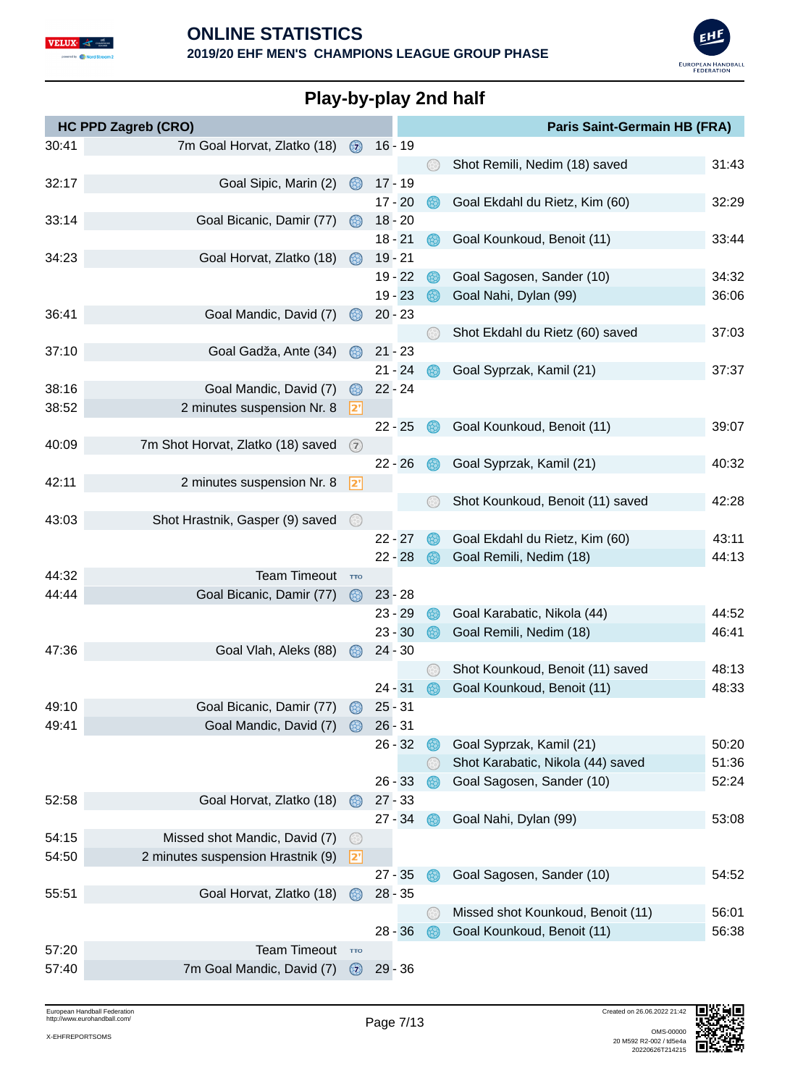



# **Play-by-play 2nd half**

| <b>HC PPD Zagreb (CRO)</b> |                                   |                |           |                        |             | Paris Saint-Germain HB (FRA)                                  |                |
|----------------------------|-----------------------------------|----------------|-----------|------------------------|-------------|---------------------------------------------------------------|----------------|
| 30:41                      | 7m Goal Horvat, Zlatko (18)       | $\circledcirc$ |           | $16 - 19$              |             |                                                               |                |
|                            |                                   |                |           |                        | 63)         | Shot Remili, Nedim (18) saved                                 | 31:43          |
| 32:17                      | Goal Sipic, Marin (2)             | $\circledcirc$ |           | $17 - 19$              |             |                                                               |                |
|                            |                                   |                |           | $17 - 20$              |             | Goal Ekdahl du Rietz, Kim (60)                                | 32:29          |
| 33:14                      | Goal Bicanic, Damir (77)          | 68)            |           | $18 - 20$              |             |                                                               |                |
|                            |                                   |                |           | $18 - 21$              | 63)         | Goal Kounkoud, Benoit (11)                                    | 33:44          |
| 34:23                      | Goal Horvat, Zlatko (18)          | 68)            |           | $19 - 21$              |             |                                                               |                |
|                            |                                   |                |           | $19 - 22$              | 63)         | Goal Sagosen, Sander (10)                                     | 34:32          |
|                            |                                   |                |           | $19 - 23$              |             | Goal Nahi, Dylan (99)                                         | 36:06          |
| 36:41                      | Goal Mandic, David (7)            |                |           | $20 - 23$              |             |                                                               |                |
|                            |                                   |                |           |                        | (군)         | Shot Ekdahl du Rietz (60) saved                               | 37:03          |
| 37:10                      | Goal Gadža, Ante (34)             | 68)            |           | $21 - 23$<br>$21 - 24$ |             | Goal Syprzak, Kamil (21)                                      | 37:37          |
| 38:16                      | Goal Mandic, David (7)            | 63)            |           | $22 - 24$              |             |                                                               |                |
| 38:52                      | 2 minutes suspension Nr. 8        | 2              |           |                        |             |                                                               |                |
|                            |                                   |                |           | $22 - 25$              |             | Goal Kounkoud, Benoit (11)                                    | 39:07          |
| 40:09                      | 7m Shot Horvat, Zlatko (18) saved | $\circled{2}$  |           |                        |             |                                                               |                |
|                            |                                   |                |           | $22 - 26$              |             | Goal Syprzak, Kamil (21)                                      | 40:32          |
| 42:11                      | 2 minutes suspension Nr. 8        | 2              |           |                        |             |                                                               |                |
|                            |                                   |                |           |                        |             | Shot Kounkoud, Benoit (11) saved                              | 42:28          |
| 43:03                      | Shot Hrastnik, Gasper (9) saved   | $\odot$        |           |                        |             |                                                               |                |
|                            |                                   |                |           | $22 - 27$              |             | Goal Ekdahl du Rietz, Kim (60)                                | 43:11          |
|                            |                                   |                |           | $22 - 28$              |             | Goal Remili, Nedim (18)                                       | 44:13          |
| 44:32                      | <b>Team Timeout</b>               | <b>TTO</b>     |           |                        |             |                                                               |                |
| 44:44                      | Goal Bicanic, Damir (77)          | $\circledR$    |           | $23 - 28$              |             |                                                               |                |
|                            |                                   |                |           | $23 - 29$              | $\circledR$ | Goal Karabatic, Nikola (44)                                   | 44:52          |
|                            |                                   |                |           | $23 - 30$              | 63)         | Goal Remili, Nedim (18)                                       | 46:41          |
| 47:36                      | Goal Vlah, Aleks (88)             |                |           | $24 - 30$              |             |                                                               |                |
|                            |                                   |                |           |                        |             | Shot Kounkoud, Benoit (11) saved                              | 48:13          |
|                            |                                   |                | $24 - 31$ |                        |             | Goal Kounkoud, Benoit (11)                                    | 48:33          |
| 49:10                      | Goal Bicanic, Damir (77)          |                |           | $25 - 31$              |             |                                                               |                |
| 49:41                      | Goal Mandic, David (7)            |                |           | $26 - 31$              |             |                                                               |                |
|                            |                                   |                |           | $26 - 32$              | $\circledR$ | Goal Syprzak, Kamil (21)<br>Shot Karabatic, Nikola (44) saved | 50:20          |
|                            |                                   |                |           | $26 - 33$              |             | Goal Sagosen, Sander (10)                                     | 51:36<br>52:24 |
| 52:58                      | Goal Horvat, Zlatko (18)          | (3)            |           | $27 - 33$              |             |                                                               |                |
|                            |                                   |                |           | $27 - 34$              | 68.         | Goal Nahi, Dylan (99)                                         | 53:08          |
| 54:15                      | Missed shot Mandic, David (7)     | $(\succ)$      |           |                        |             |                                                               |                |
| 54:50                      | 2 minutes suspension Hrastnik (9) | <u> 2' </u>    |           |                        |             |                                                               |                |
|                            |                                   |                |           | $27 - 35$              |             | Goal Sagosen, Sander (10)                                     | 54:52          |
| 55:51                      | Goal Horvat, Zlatko (18)          | 68)            |           | $28 - 35$              |             |                                                               |                |
|                            |                                   |                |           |                        | 63          | Missed shot Kounkoud, Benoit (11)                             | 56:01          |
|                            |                                   |                |           | $28 - 36$              |             | Goal Kounkoud, Benoit (11)                                    | 56:38          |
| 57:20                      | <b>Team Timeout</b>               | <b>TTO</b>     |           |                        |             |                                                               |                |
| 57:40                      | 7m Goal Mandic, David (7)         | $\circledcirc$ |           | $29 - 36$              |             |                                                               |                |

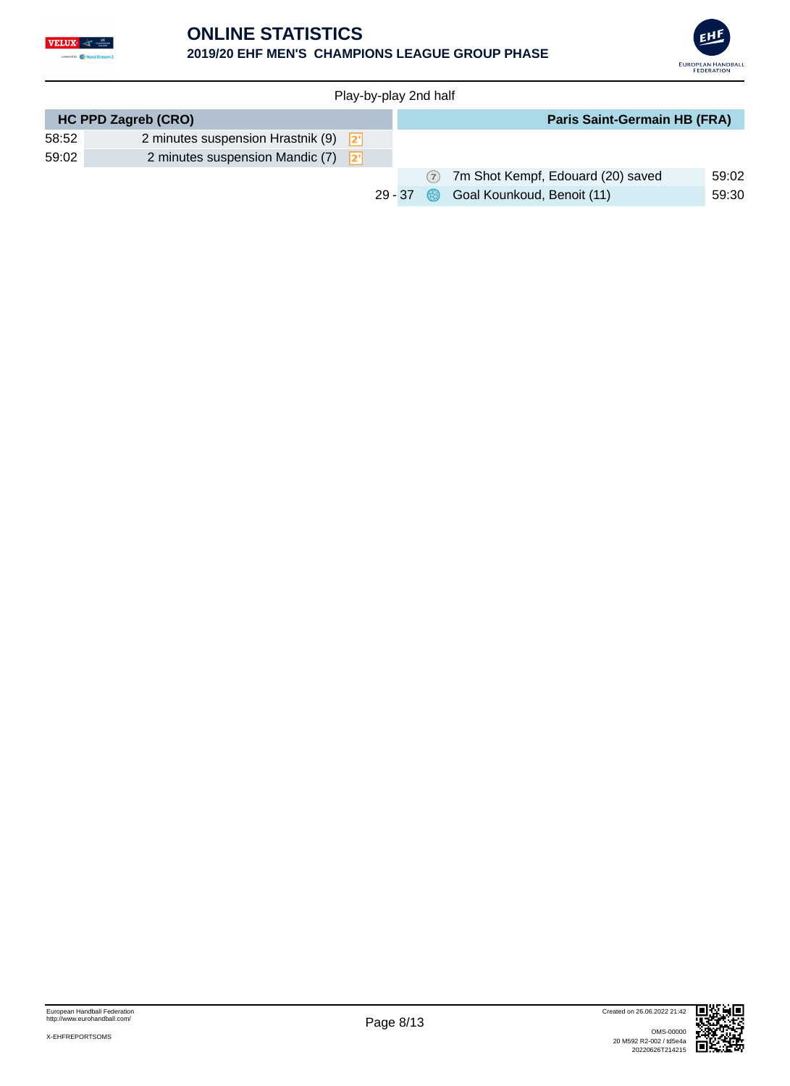

#### **ONLINE STATISTICS 2019/20 EHF MEN'S CHAMPIONS LEAGUE GROUP PHASE**



|       | Play-by-play 2nd half                     |           |  |                                     |       |  |  |  |  |  |  |  |
|-------|-------------------------------------------|-----------|--|-------------------------------------|-------|--|--|--|--|--|--|--|
|       | <b>HC PPD Zagreb (CRO)</b>                |           |  | <b>Paris Saint-Germain HB (FRA)</b> |       |  |  |  |  |  |  |  |
| 58:52 | 2 minutes suspension Hrastnik (9) $2^{n}$ |           |  |                                     |       |  |  |  |  |  |  |  |
| 59:02 | 2 minutes suspension Mandic $(7)$ $2^7$   |           |  |                                     |       |  |  |  |  |  |  |  |
|       |                                           |           |  | 7 7m Shot Kempf, Edouard (20) saved | 59:02 |  |  |  |  |  |  |  |
|       |                                           | $29 - 37$ |  | Goal Kounkoud, Benoit (11)          | 59:30 |  |  |  |  |  |  |  |

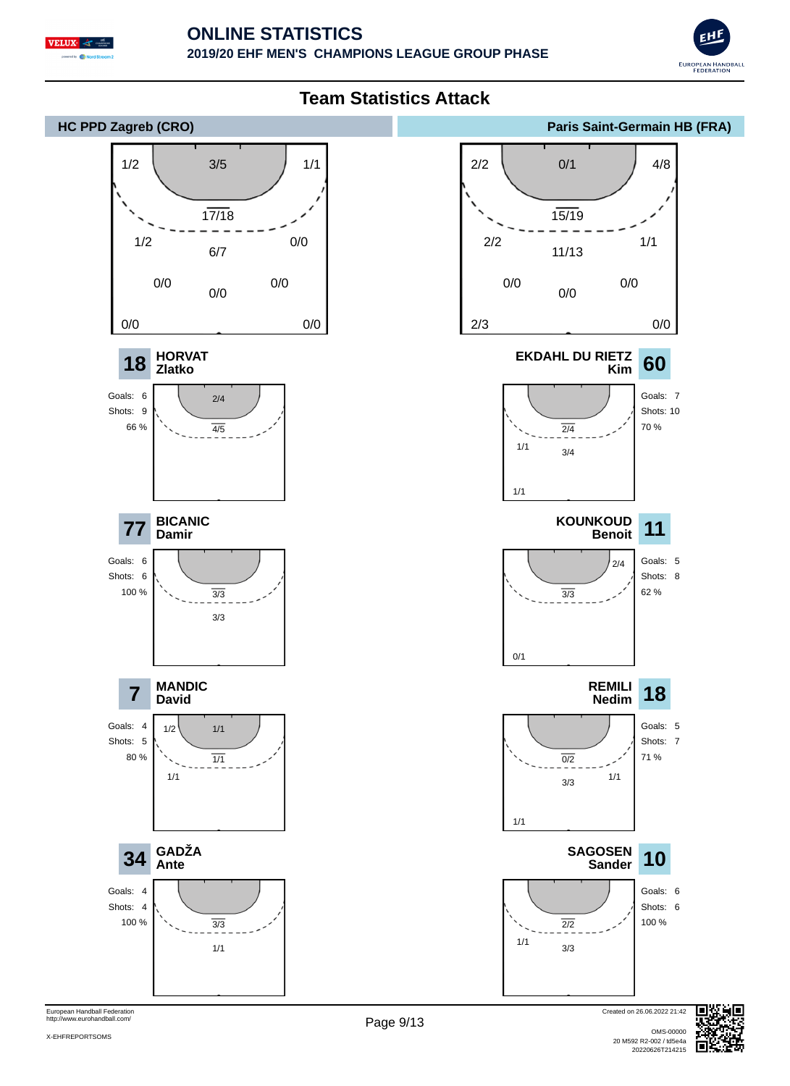





European Handball Federation http://www.eurohandball.com/

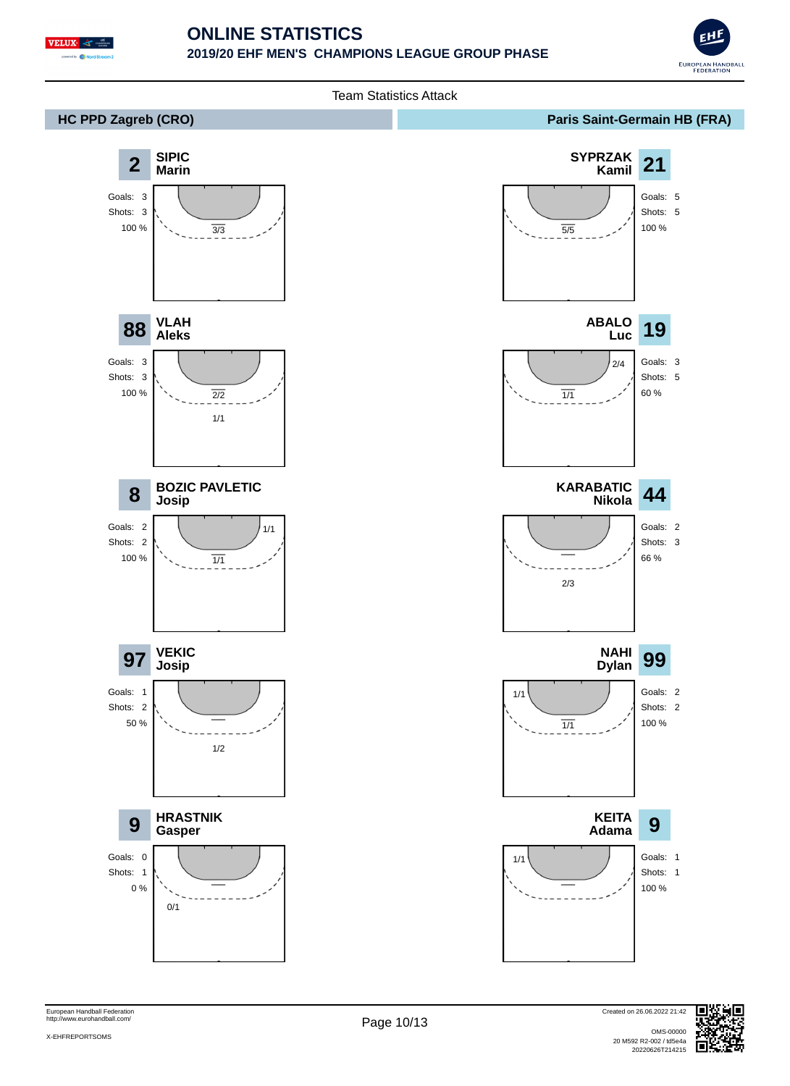

#### **ONLINE STATISTICS 2019/20 EHF MEN'S CHAMPIONS LEAGUE GROUP PHASE**





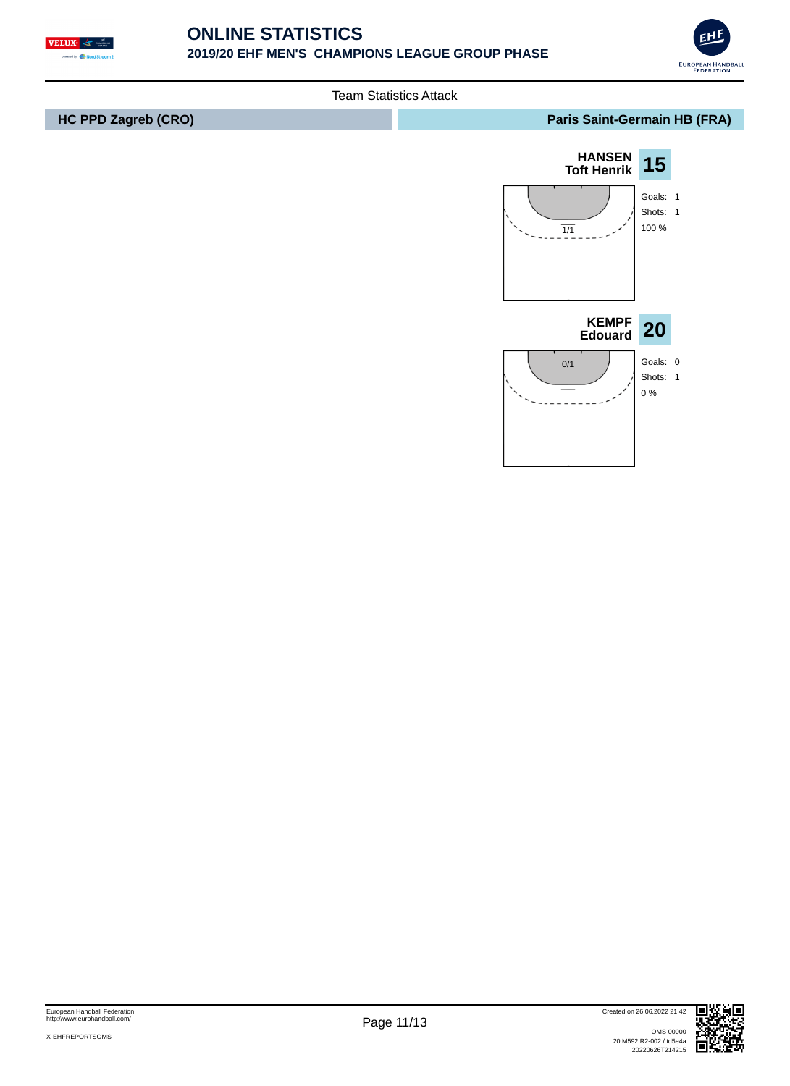





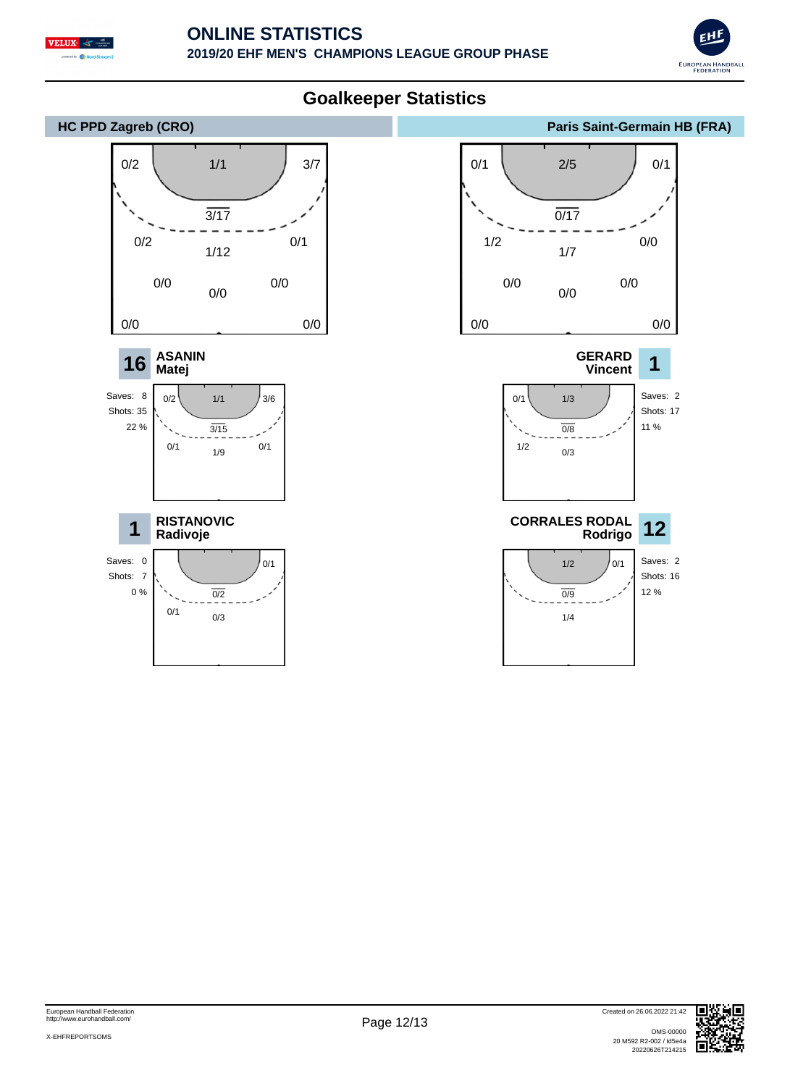